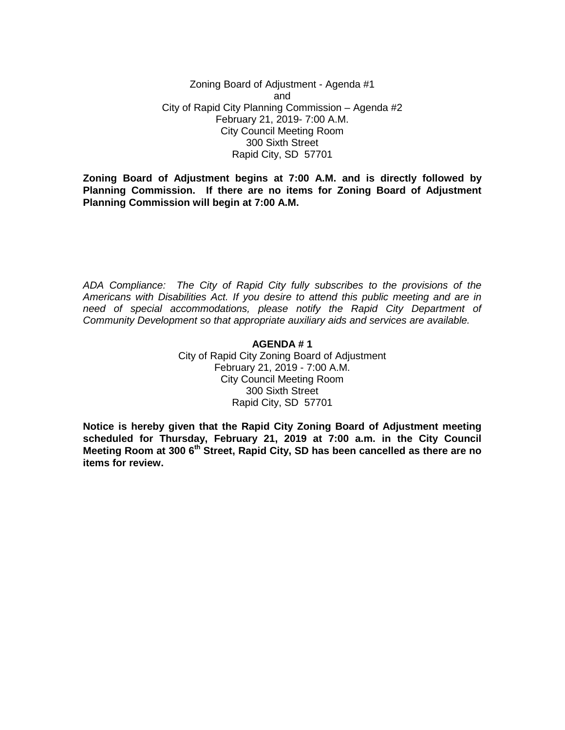Zoning Board of Adjustment - Agenda #1 and City of Rapid City Planning Commission – Agenda #2 February 21, 2019- 7:00 A.M. City Council Meeting Room 300 Sixth Street Rapid City, SD 57701

**Zoning Board of Adjustment begins at 7:00 A.M. and is directly followed by Planning Commission. If there are no items for Zoning Board of Adjustment Planning Commission will begin at 7:00 A.M.**

*ADA Compliance: The City of Rapid City fully subscribes to the provisions of the Americans with Disabilities Act. If you desire to attend this public meeting and are in need of special accommodations, please notify the Rapid City Department of Community Development so that appropriate auxiliary aids and services are available.*

#### **AGENDA # 1**

City of Rapid City Zoning Board of Adjustment February 21, 2019 - 7:00 A.M. City Council Meeting Room 300 Sixth Street Rapid City, SD 57701

**Notice is hereby given that the Rapid City Zoning Board of Adjustment meeting scheduled for Thursday, February 21, 2019 at 7:00 a.m. in the City Council Meeting Room at 300 6th Street, Rapid City, SD has been cancelled as there are no items for review.**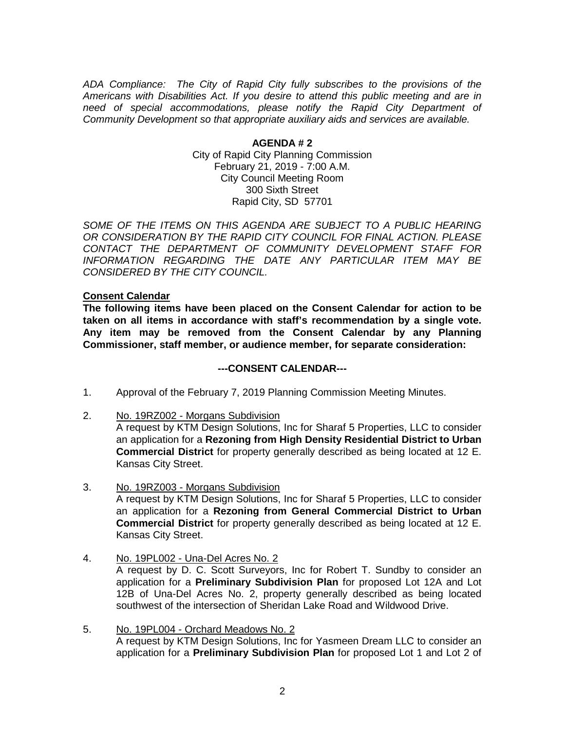*ADA Compliance: The City of Rapid City fully subscribes to the provisions of the Americans with Disabilities Act. If you desire to attend this public meeting and are in need of special accommodations, please notify the Rapid City Department of Community Development so that appropriate auxiliary aids and services are available.*

> **AGENDA # 2** City of Rapid City Planning Commission February 21, 2019 - 7:00 A.M. City Council Meeting Room 300 Sixth Street Rapid City, SD 57701

SOME OF THE ITEMS ON THIS AGENDA ARE SUBJECT TO A PUBLIC HEARING *OR CONSIDERATION BY THE RAPID CITY COUNCIL FOR FINAL ACTION. PLEASE CONTACT THE DEPARTMENT OF COMMUNITY DEVELOPMENT STAFF FOR INFORMATION REGARDING THE DATE ANY PARTICULAR ITEM MAY BE CONSIDERED BY THE CITY COUNCIL.*

# **Consent Calendar**

**The following items have been placed on the Consent Calendar for action to be taken on all items in accordance with staff's recommendation by a single vote. Any item may be removed from the Consent Calendar by any Planning Commissioner, staff member, or audience member, for separate consideration:**

#### **---CONSENT CALENDAR---**

- 1. Approval of the February 7, 2019 Planning Commission Meeting Minutes.
- 2. No. 19RZ002 Morgans Subdivision

A request by KTM Design Solutions, Inc for Sharaf 5 Properties, LLC to consider an application for a **Rezoning from High Density Residential District to Urban Commercial District** for property generally described as being located at 12 E. Kansas City Street.

- 3. No. 19RZ003 Morgans Subdivision A request by KTM Design Solutions, Inc for Sharaf 5 Properties, LLC to consider an application for a **Rezoning from General Commercial District to Urban Commercial District** for property generally described as being located at 12 E. Kansas City Street.
- 4. No. 19PL002 Una-Del Acres No. 2 A request by D. C. Scott Surveyors, Inc for Robert T. Sundby to consider an application for a **Preliminary Subdivision Plan** for proposed Lot 12A and Lot 12B of Una-Del Acres No. 2, property generally described as being located southwest of the intersection of Sheridan Lake Road and Wildwood Drive.
- 5. No. 19PL004 Orchard Meadows No. 2 A request by KTM Design Solutions, Inc for Yasmeen Dream LLC to consider an application for a **Preliminary Subdivision Plan** for proposed Lot 1 and Lot 2 of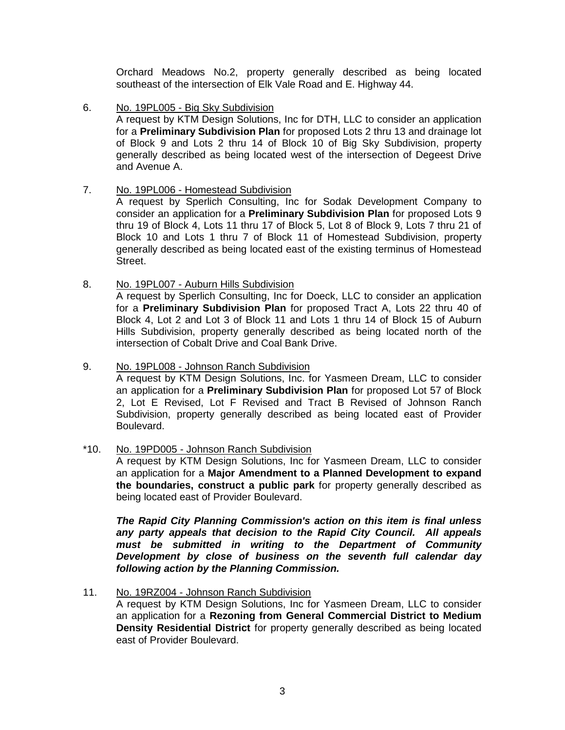Orchard Meadows No.2, property generally described as being located southeast of the intersection of Elk Vale Road and E. Highway 44.

6. No. 19PL005 - Big Sky Subdivision

A request by KTM Design Solutions, Inc for DTH, LLC to consider an application for a **Preliminary Subdivision Plan** for proposed Lots 2 thru 13 and drainage lot of Block 9 and Lots 2 thru 14 of Block 10 of Big Sky Subdivision, property generally described as being located west of the intersection of Degeest Drive and Avenue A.

7. No. 19PL006 - Homestead Subdivision

A request by Sperlich Consulting, Inc for Sodak Development Company to consider an application for a **Preliminary Subdivision Plan** for proposed Lots 9 thru 19 of Block 4, Lots 11 thru 17 of Block 5, Lot 8 of Block 9, Lots 7 thru 21 of Block 10 and Lots 1 thru 7 of Block 11 of Homestead Subdivision, property generally described as being located east of the existing terminus of Homestead Street.

8. No. 19PL007 - Auburn Hills Subdivision

A request by Sperlich Consulting, Inc for Doeck, LLC to consider an application for a **Preliminary Subdivision Plan** for proposed Tract A, Lots 22 thru 40 of Block 4, Lot 2 and Lot 3 of Block 11 and Lots 1 thru 14 of Block 15 of Auburn Hills Subdivision, property generally described as being located north of the intersection of Cobalt Drive and Coal Bank Drive.

- 9. No. 19PL008 Johnson Ranch Subdivision A request by KTM Design Solutions, Inc. for Yasmeen Dream, LLC to consider an application for a **Preliminary Subdivision Plan** for proposed Lot 57 of Block 2, Lot E Revised, Lot F Revised and Tract B Revised of Johnson Ranch Subdivision, property generally described as being located east of Provider Boulevard.
- \*10. No. 19PD005 Johnson Ranch Subdivision

A request by KTM Design Solutions, Inc for Yasmeen Dream, LLC to consider an application for a **Major Amendment to a Planned Development to expand the boundaries, construct a public park** for property generally described as being located east of Provider Boulevard.

*The Rapid City Planning Commission's action on this item is final unless any party appeals that decision to the Rapid City Council. All appeals must be submitted in writing to the Department of Community Development by close of business on the seventh full calendar day following action by the Planning Commission.*

11. No. 19RZ004 - Johnson Ranch Subdivision

A request by KTM Design Solutions, Inc for Yasmeen Dream, LLC to consider an application for a **Rezoning from General Commercial District to Medium Density Residential District** for property generally described as being located east of Provider Boulevard.